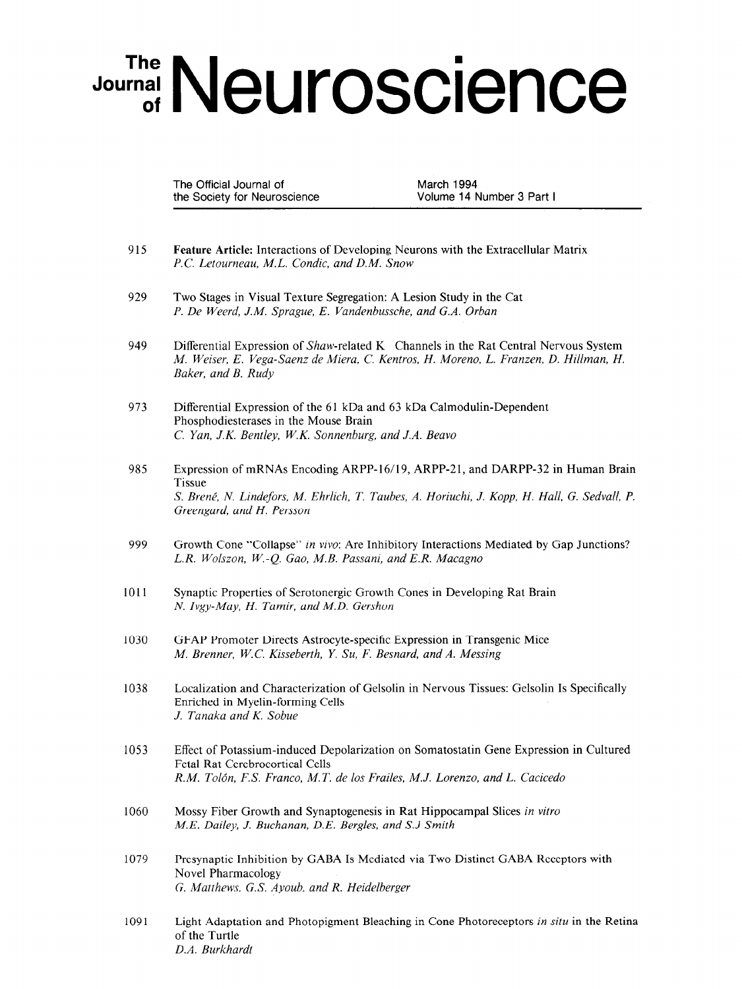## Journal Neuroscience

The Official Journal of March 1994 the Society for Neuroscience Volume 14 Number 3 Part I

- 915 Feature Article: Interactions of Developing Neurons with the Extracellular Matrix P.C. Letourneau, M.L. Condic, and D.M. Snow
- 929 Two Stages in Visual Texture Segregation: A Lesion Study in the Cat P. De Weerd, J.M. Sprague, E. Vandenbussche, and G.A. Orban
- 949 Differential Expression of Shaw-related K Channels in the Rat Central Nervous System M. Weiser, E. Vega-Saenz de Miera, C. Kentros, H. Moreno, L. Franzen, D. Hillman, H. Baker, and B. Rudy
- 973 Differential Expression of the 61 kDa and 63 kDa Calmodulin-Dependent Phosphodiesterases in the Mouse Brain C. Yan, J.K. Bentley, W.K. Sonnenburg, and J.A. Beavo
- 985 Expression of mRNAs Encoding ARPP-16/19, ARPP-21, and DARPP-32 in Human Brain **Tissue** S. Brené, N. Lindefors, M. Ehrlich, T. Taubes, A. Horiuchi, J. Kopp, H. Hall, G. Sedvall, P. Greengard, and H. Persson
- 999 Growth Cone "Collapse" in vivo: Are Inhibitory Interactions Mediated by Gap Junctions? L.R. Wolszon, W.-Q. Gao, M.B. Passani, and E.R. Macagno
- 1011 Synaptic Properties of Serotonergic Growth Cones in Developing Rat Brain  $N_{\rm H} = M_{\rm H} T_{\rm H} = 114 R_{\rm H} G_{\rm H}$
- 1030 GFAP Promoter Directs Astrocyte-specific Expression in Transgenic Mice M. Brenner, W.C. Kisseberth, Y. Su, F. Besnard, and A. Messing
- 1038 Localization and Characterization of Gelsolin in Nervous Tissues: Gelsolin Is Specifically Localization and Characterization Enriched in Myelin-forming Cells<br>J. Tanaka and K. Sobue
- 1053 Effect of Potassium-induced Depolarization on Somatostatin Gene Expression in Cultured Effect of Potassium-induced Dej Fetal Rat Cerebrocortical Cells<br>R.M. Tolón, F.S. Franco, M.T. de los Frailes, M.J. Lorenzo, and L. Cacicedo
- 1060 Mossy Fiber Growth and Synaptogenesis in Rat Hippocampal Slices in vitro Mossy Fiber Growth and Synaptogenesis in Rat Hippoc
- 1079 Presynaptic Inhibition Novel Pharmacology<br>G. Matthews, G.S. Ayoub, and R. Heidelberger
- 1091 Light Adaptation and Photopigment Bleaching in Cone Photoreceptors in situ in the Retina of the Turtle<br>D.A. Burkhardt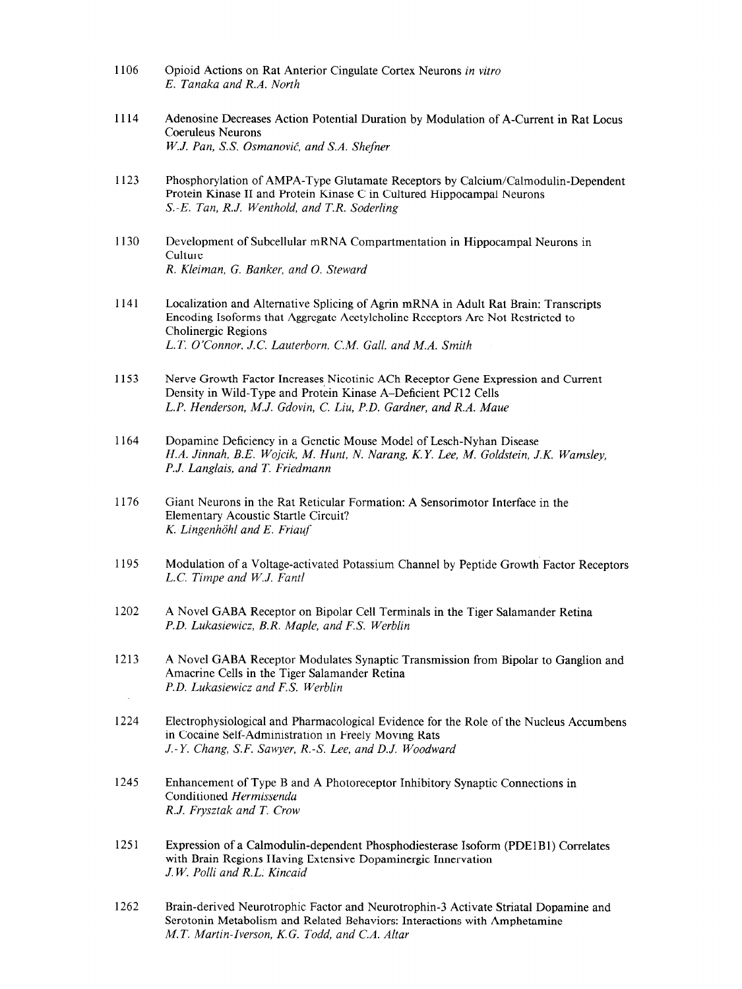- 1106 Opioid Actions on Rat Anterior Cingulate Cortex Neurons in vitro E. Tanaka and R.A. North
- 1114 Adenosine Decreases Action Potential Duration by Modulation of A-Current in Rat Locus Coeruleus Neurons W.J. Pan, S.S. Osmanović, and S.A. Shefner
- 1123 Phosphorylation of AMPA-Type Glutamate Receptors by Calcium/Calmodulin-Dependent Protein Kinase II and Protein Kinase C in Cultured Hippocampal Neurons S.-E. Tan, R.J. Wenthold, and T.R. Soderling
- 1130 Development of Subcellular mRNA Compartmentation in Hippocampal Neurons in Culture R. Kleiman, G. Banker, and 0. Steward
- 1141 Localization and Alternative Splicing of Agrin mRNA in Adult Rat Brain: Transcripts Encoding Isoforms that Aggregate Acetylcholine Receptors Are Not Restricted to Cholinergic Regions L.T. O'Connor, J.C. Lauterborn, C.M. Gall, and M.A. Smith
- 1153 Nerve Growth Factor Increases Nicotinic ACh Receptor Gene Expression and Current Density in Wild-Type and Protein Kinase A-Deficient PC12 Cells L.P. Henderson, M.J. Gdovin, C. Liu, P.D. Gardner, and R.A. Maue
- 1164 Dopamine Deficiency in a Genetic Mouse Model of Lesch-Nyhan Disease H.A. Jinnah, B.E. Wojcik, M. Hunt, N. Narang, K.Y. Lee, M. Goldstein, J.K. Wamsley, P.J. Langlais, and T. Friedmann
- 1176 Giant Neurons in the Rat Reticular Formation: A Sensorimotor Interface in the Elementary Acoustic Startle Circuit? K. Lingenhöhl and E. Friauf
- 1195 Modulation of a Voltage-activated Potassium Channel by Peptide Growth Factor Receptors L.C. Timpe and W.J. Fantl
- 1202 A Novel GABA Receptor on Bipolar Cell Terminals in the Tiger Salamander Retina P.D. Lukasiewicz, B.R. Maple, and F.S. Werblin
- 1213 A Novel GABA Receptor Modulates Synaptic Transmission from Bipolar to Ganglion and Amacrine Cells in the Tiger Salamander Retina P.D. Lukasiewicz and F.S. Werblin
- 1224 Electrophysiological and Pharmacological Evidence for the Role of the Nucleus Accumbens in Cocaine Self-Administration in Freely Moving Rats J.-Y. Chang, S.F. Sawyer, R.-S. Lee, and D.J. Woodward
- 1245 Enhancement of Type B and A Photoreceptor Inhibitory Synaptic Connections in Conditioned Hermissenda R.J. Frysztak and T. Crow
- 1251 Expression of a Calmodulin-dependent Phosphodiesterase Isoform (PDE 1 B 1) Correlates  $L$ Apitssion of a Cannouline-dependent Filosphodiesterase Isolo with Brain Regions Having Extensive Dopaminergic Innervation  $J.W.$  Polli and R.L. Kincaid
- 1262 Brain-derived Neurotrophic Factor and Neurotrophin-3 Activate Striatal Dopamine and Brain-derived Neurotrophic Factor and Neurotrophin-3 Activate Striatal Dop Serotonin Metabolism and Related Behaviors: Interactions with Amphetamine M.T. Martin-Iverson, K.G. Todd, and C.A. Altar